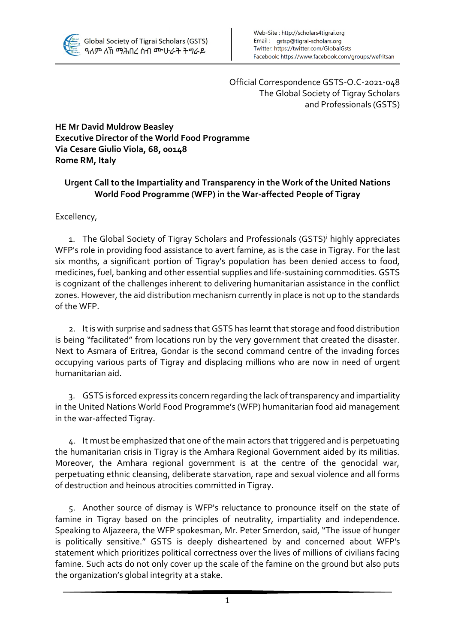

Official Correspondence GSTS-O.C-2021-048 The Global Society of Tigray Scholars and Professionals (GSTS)

**HE Mr David Muldrow Beasley Executive Director of the World Food Programme Via Cesare Giulio Viola, 68, 00148 Rome RM, Italy**

## **Urgent Call to the Impartiality and Transparency in the Work of the United Nations World Food Programme (WFP) in the War-affected People of Tigray**

Excellency,

1. The Global Society of Tigray Scholars and Professionals (GSTS)<sup>i</sup> highly appreciates WFP's role in providing food assistance to avert famine, as is the case in Tigray. For the last six months, a significant portion of Tigray's population has been denied access to food, medicines, fuel, banking and other essential supplies and life-sustaining commodities. GSTS is cognizant of the challenges inherent to delivering humanitarian assistance in the conflict zones. However, the aid distribution mechanism currently in place is not up to the standards of the WFP.

2. It is with surprise and sadness that GSTS has learnt that storage and food distribution is being "facilitated" from locations run by the very government that created the disaster. Next to Asmara of Eritrea, Gondar is the second command centre of the invading forces occupying various parts of Tigray and displacing millions who are now in need of urgent humanitarian aid.

3. GSTS is forced express its concern regarding the lack of transparency and impartiality in the United Nations World Food Programme's (WFP) humanitarian food aid management in the war-affected Tigray.

4. It must be emphasized that one of the main actors that triggered and is perpetuating the humanitarian crisis in Tigray is the Amhara Regional Government aided by its militias. Moreover, the Amhara regional government is at the centre of the genocidal war, perpetuating ethnic cleansing, deliberate starvation, rape and sexual violence and all forms of destruction and heinous atrocities committed in Tigray.

5. Another source of dismay is WFP's reluctance to pronounce itself on the state of famine in Tigray based on the principles of neutrality, impartiality and independence. Speaking to Aljazeera, the WFP spokesman, Mr. Peter Smerdon, said, "The issue of hunger is politically sensitive." GSTS is deeply disheartened by and concerned about WFP's statement which prioritizes political correctness over the lives of millions of civilians facing famine. Such acts do not only cover up the scale of the famine on the ground but also puts the organization's global integrity at a stake.